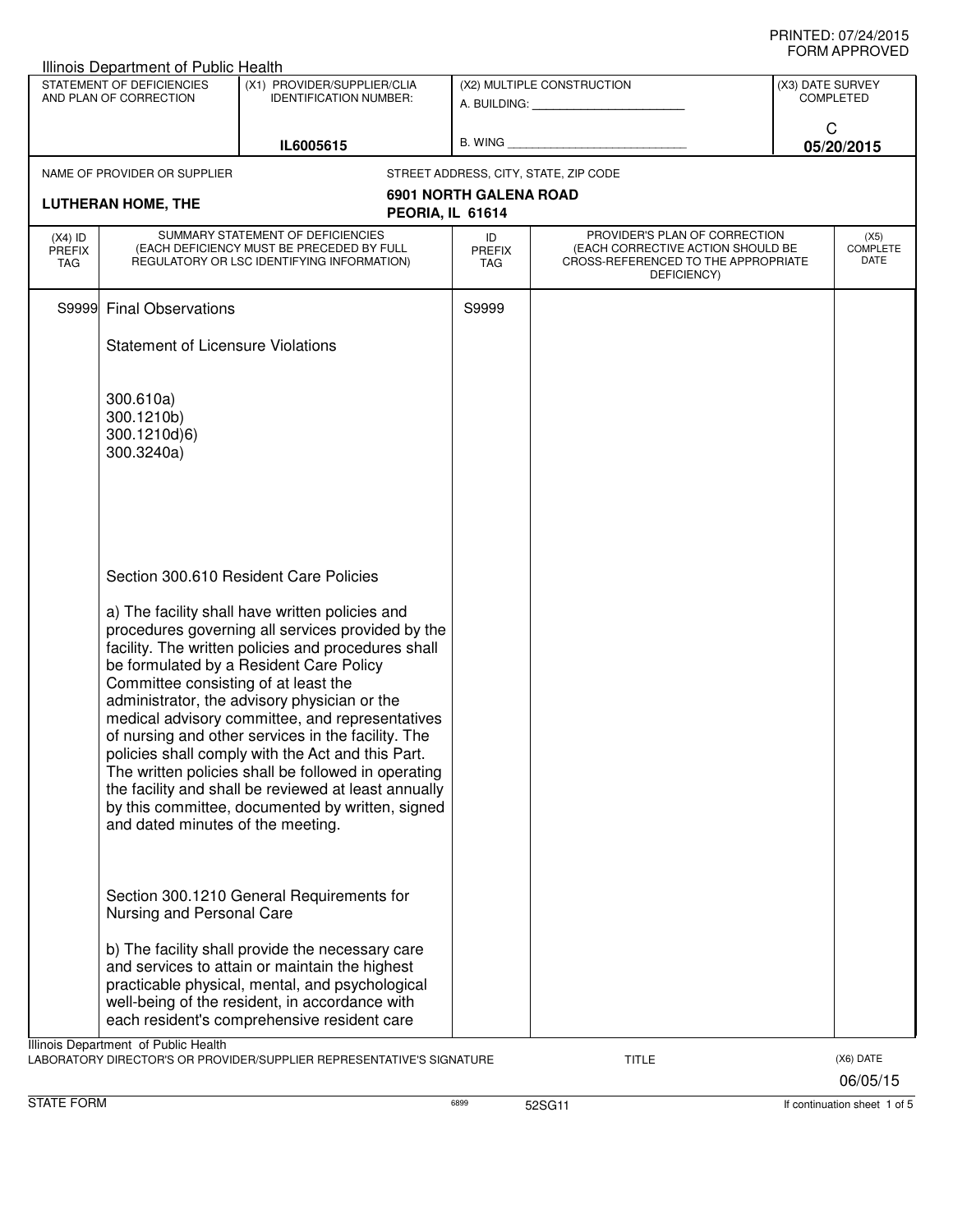|                                                     | Illinois Department of Public Health                                      |                                                                                                                                                                                                                                                                                                                                                                                                                                                                                                                                                                                                                                   |                                   |                                                                                                                          |                  |                                 |
|-----------------------------------------------------|---------------------------------------------------------------------------|-----------------------------------------------------------------------------------------------------------------------------------------------------------------------------------------------------------------------------------------------------------------------------------------------------------------------------------------------------------------------------------------------------------------------------------------------------------------------------------------------------------------------------------------------------------------------------------------------------------------------------------|-----------------------------------|--------------------------------------------------------------------------------------------------------------------------|------------------|---------------------------------|
| STATEMENT OF DEFICIENCIES<br>AND PLAN OF CORRECTION |                                                                           | (X1) PROVIDER/SUPPLIER/CLIA<br><b>IDENTIFICATION NUMBER:</b>                                                                                                                                                                                                                                                                                                                                                                                                                                                                                                                                                                      |                                   | (X2) MULTIPLE CONSTRUCTION<br>A. BUILDING: A. BUILDING:                                                                  | (X3) DATE SURVEY | <b>COMPLETED</b>                |
| IL6005615                                           |                                                                           | B. WING                                                                                                                                                                                                                                                                                                                                                                                                                                                                                                                                                                                                                           |                                   | C<br>05/20/2015                                                                                                          |                  |                                 |
|                                                     | NAME OF PROVIDER OR SUPPLIER                                              |                                                                                                                                                                                                                                                                                                                                                                                                                                                                                                                                                                                                                                   |                                   | STREET ADDRESS, CITY, STATE, ZIP CODE                                                                                    |                  |                                 |
|                                                     | <b>LUTHERAN HOME, THE</b>                                                 | PEORIA, IL 61614                                                                                                                                                                                                                                                                                                                                                                                                                                                                                                                                                                                                                  | <b>6901 NORTH GALENA ROAD</b>     |                                                                                                                          |                  |                                 |
| $(X4)$ ID<br><b>PREFIX</b><br><b>TAG</b>            |                                                                           | SUMMARY STATEMENT OF DEFICIENCIES<br>(EACH DEFICIENCY MUST BE PRECEDED BY FULL<br>REGULATORY OR LSC IDENTIFYING INFORMATION)                                                                                                                                                                                                                                                                                                                                                                                                                                                                                                      | ID<br><b>PREFIX</b><br><b>TAG</b> | PROVIDER'S PLAN OF CORRECTION<br>(EACH CORRECTIVE ACTION SHOULD BE<br>CROSS-REFERENCED TO THE APPROPRIATE<br>DEFICIENCY) |                  | (X5)<br><b>COMPLETE</b><br>DATE |
|                                                     | S9999 Final Observations                                                  |                                                                                                                                                                                                                                                                                                                                                                                                                                                                                                                                                                                                                                   | S9999                             |                                                                                                                          |                  |                                 |
|                                                     | <b>Statement of Licensure Violations</b>                                  |                                                                                                                                                                                                                                                                                                                                                                                                                                                                                                                                                                                                                                   |                                   |                                                                                                                          |                  |                                 |
|                                                     | 300.610a)<br>300.1210b)<br>300.1210d)6)<br>300.3240a)                     |                                                                                                                                                                                                                                                                                                                                                                                                                                                                                                                                                                                                                                   |                                   |                                                                                                                          |                  |                                 |
|                                                     | Committee consisting of at least the<br>and dated minutes of the meeting. | Section 300.610 Resident Care Policies<br>a) The facility shall have written policies and<br>procedures governing all services provided by the<br>facility. The written policies and procedures shall<br>be formulated by a Resident Care Policy<br>administrator, the advisory physician or the<br>medical advisory committee, and representatives<br>of nursing and other services in the facility. The<br>policies shall comply with the Act and this Part.<br>The written policies shall be followed in operating<br>the facility and shall be reviewed at least annually<br>by this committee, documented by written, signed |                                   |                                                                                                                          |                  |                                 |
|                                                     | Nursing and Personal Care                                                 | Section 300.1210 General Requirements for<br>b) The facility shall provide the necessary care<br>and services to attain or maintain the highest<br>practicable physical, mental, and psychological<br>well-being of the resident, in accordance with<br>each resident's comprehensive resident care                                                                                                                                                                                                                                                                                                                               |                                   |                                                                                                                          |                  |                                 |
|                                                     | Illinois Department of Public Health                                      | LABORATORY DIRECTOR'S OR PROVIDER/SUPPLIER REPRESENTATIVE'S SIGNATURE                                                                                                                                                                                                                                                                                                                                                                                                                                                                                                                                                             |                                   | <b>TITLE</b>                                                                                                             |                  | (X6) DATE<br>06/05/15           |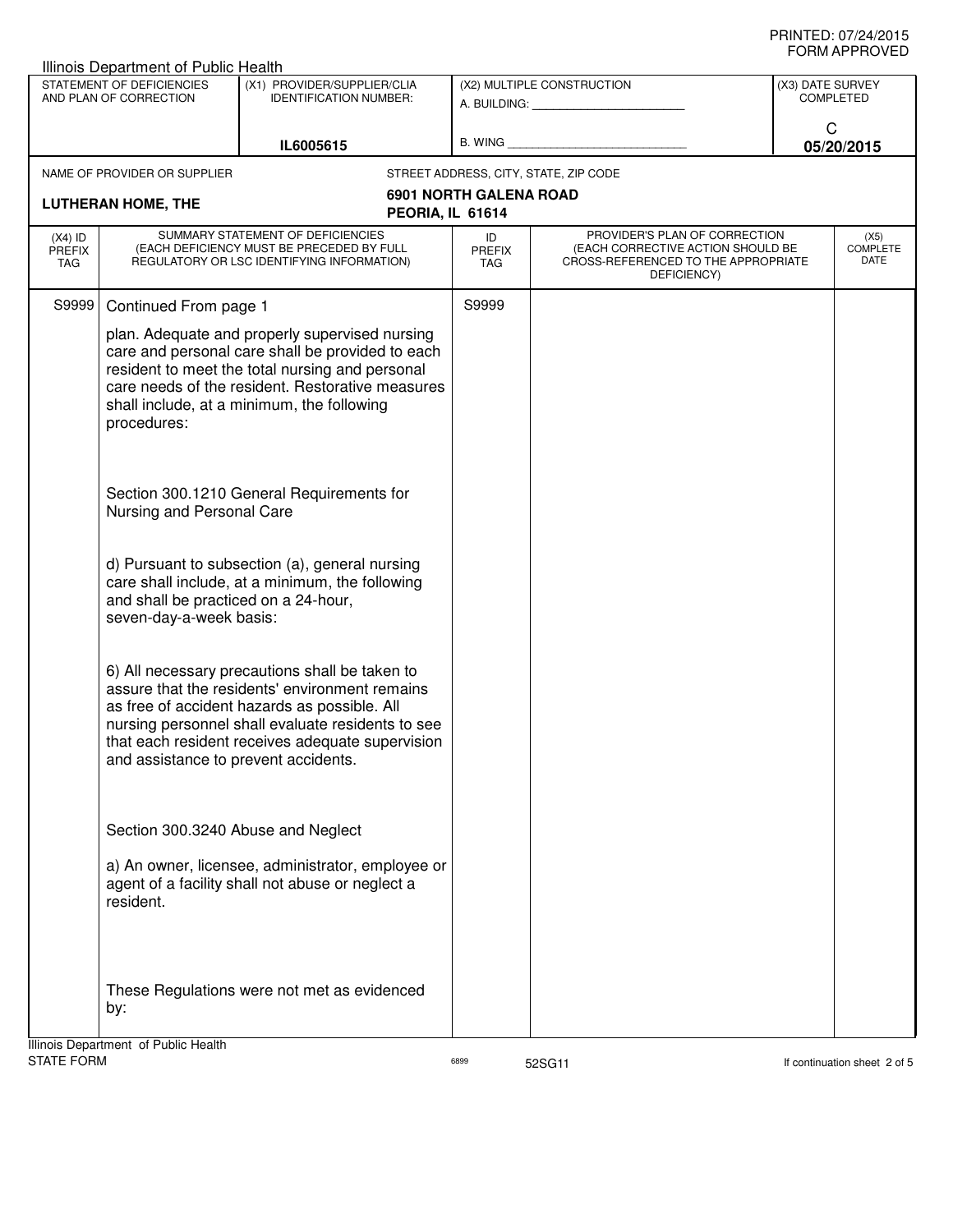|                                                                                                                                  | <b>Illinois Department of Public Health</b>                                                                                                                                                                                                                            |                                                                                                                                                                                                                                                           |                                                         |                                                                                                                          |                               |                                 |  |
|----------------------------------------------------------------------------------------------------------------------------------|------------------------------------------------------------------------------------------------------------------------------------------------------------------------------------------------------------------------------------------------------------------------|-----------------------------------------------------------------------------------------------------------------------------------------------------------------------------------------------------------------------------------------------------------|---------------------------------------------------------|--------------------------------------------------------------------------------------------------------------------------|-------------------------------|---------------------------------|--|
| STATEMENT OF DEFICIENCIES<br>(X1) PROVIDER/SUPPLIER/CLIA<br>AND PLAN OF CORRECTION<br><b>IDENTIFICATION NUMBER:</b><br>IL6005615 |                                                                                                                                                                                                                                                                        |                                                                                                                                                                                                                                                           | (X2) MULTIPLE CONSTRUCTION<br>A. BUILDING: A. BUILDING: |                                                                                                                          | (X3) DATE SURVEY<br>COMPLETED |                                 |  |
|                                                                                                                                  |                                                                                                                                                                                                                                                                        | B. WING                                                                                                                                                                                                                                                   |                                                         | C<br>05/20/2015                                                                                                          |                               |                                 |  |
|                                                                                                                                  | NAME OF PROVIDER OR SUPPLIER                                                                                                                                                                                                                                           |                                                                                                                                                                                                                                                           |                                                         | STREET ADDRESS, CITY, STATE, ZIP CODE                                                                                    |                               |                                 |  |
|                                                                                                                                  | <b>LUTHERAN HOME, THE</b>                                                                                                                                                                                                                                              | PEORIA, IL 61614                                                                                                                                                                                                                                          | <b>6901 NORTH GALENA ROAD</b>                           |                                                                                                                          |                               |                                 |  |
| $(X4)$ ID<br><b>PREFIX</b><br>TAG                                                                                                |                                                                                                                                                                                                                                                                        | SUMMARY STATEMENT OF DEFICIENCIES<br>(EACH DEFICIENCY MUST BE PRECEDED BY FULL<br>REGULATORY OR LSC IDENTIFYING INFORMATION)                                                                                                                              | ID<br><b>PREFIX</b><br>TAG                              | PROVIDER'S PLAN OF CORRECTION<br>(EACH CORRECTIVE ACTION SHOULD BE<br>CROSS-REFERENCED TO THE APPROPRIATE<br>DEFICIENCY) |                               | (X5)<br><b>COMPLETE</b><br>DATE |  |
| S9999                                                                                                                            | Continued From page 1                                                                                                                                                                                                                                                  |                                                                                                                                                                                                                                                           | S9999                                                   |                                                                                                                          |                               |                                 |  |
|                                                                                                                                  | plan. Adequate and properly supervised nursing<br>care and personal care shall be provided to each<br>resident to meet the total nursing and personal<br>care needs of the resident. Restorative measures<br>shall include, at a minimum, the following<br>procedures: |                                                                                                                                                                                                                                                           |                                                         |                                                                                                                          |                               |                                 |  |
|                                                                                                                                  | Nursing and Personal Care                                                                                                                                                                                                                                              | Section 300.1210 General Requirements for                                                                                                                                                                                                                 |                                                         |                                                                                                                          |                               |                                 |  |
|                                                                                                                                  | and shall be practiced on a 24-hour,<br>seven-day-a-week basis:                                                                                                                                                                                                        | d) Pursuant to subsection (a), general nursing<br>care shall include, at a minimum, the following                                                                                                                                                         |                                                         |                                                                                                                          |                               |                                 |  |
|                                                                                                                                  | and assistance to prevent accidents.                                                                                                                                                                                                                                   | 6) All necessary precautions shall be taken to<br>assure that the residents' environment remains<br>as free of accident hazards as possible. All<br>nursing personnel shall evaluate residents to see<br>that each resident receives adequate supervision |                                                         |                                                                                                                          |                               |                                 |  |
|                                                                                                                                  | Section 300.3240 Abuse and Neglect<br>resident.                                                                                                                                                                                                                        | a) An owner, licensee, administrator, employee or<br>agent of a facility shall not abuse or neglect a                                                                                                                                                     |                                                         |                                                                                                                          |                               |                                 |  |
|                                                                                                                                  | by:                                                                                                                                                                                                                                                                    | These Regulations were not met as evidenced                                                                                                                                                                                                               |                                                         |                                                                                                                          |                               |                                 |  |
|                                                                                                                                  | Illinois Department of Public Health                                                                                                                                                                                                                                   |                                                                                                                                                                                                                                                           |                                                         |                                                                                                                          |                               |                                 |  |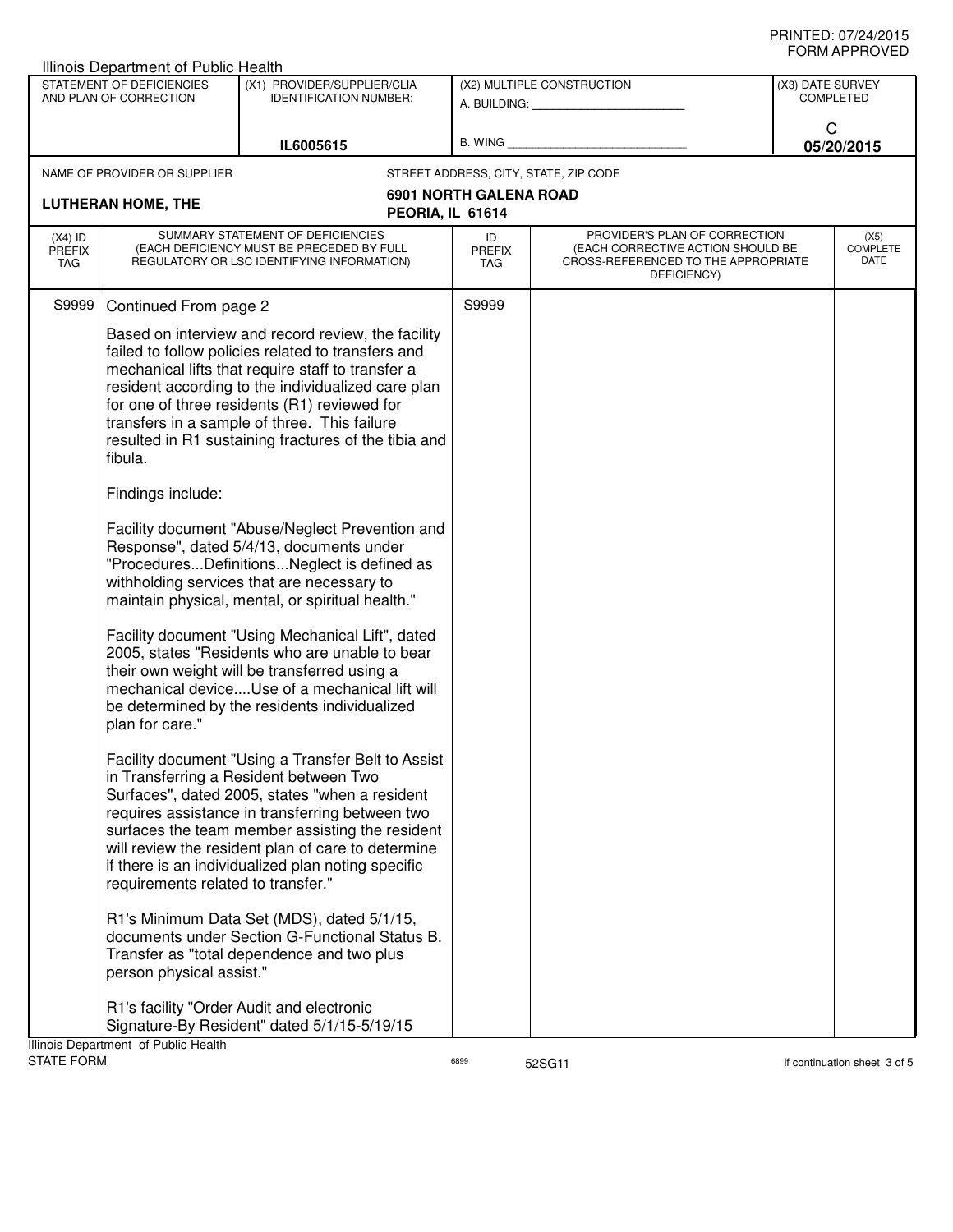|                                   | <b>Illinois Department of Public Health</b>                                                                       |                                                                                                                                                                                                                                                                                                                                                                                                                                                                                                                                                                                                                                                                                                                                                                                                                                                                                                                                                                                                                                                                                                                                                                                                                                                                                                                                                                                                        |                               |                                                                                                                          |                  |                                 |
|-----------------------------------|-------------------------------------------------------------------------------------------------------------------|--------------------------------------------------------------------------------------------------------------------------------------------------------------------------------------------------------------------------------------------------------------------------------------------------------------------------------------------------------------------------------------------------------------------------------------------------------------------------------------------------------------------------------------------------------------------------------------------------------------------------------------------------------------------------------------------------------------------------------------------------------------------------------------------------------------------------------------------------------------------------------------------------------------------------------------------------------------------------------------------------------------------------------------------------------------------------------------------------------------------------------------------------------------------------------------------------------------------------------------------------------------------------------------------------------------------------------------------------------------------------------------------------------|-------------------------------|--------------------------------------------------------------------------------------------------------------------------|------------------|---------------------------------|
|                                   | STATEMENT OF DEFICIENCIES<br>AND PLAN OF CORRECTION                                                               | (X1) PROVIDER/SUPPLIER/CLIA<br><b>IDENTIFICATION NUMBER:</b>                                                                                                                                                                                                                                                                                                                                                                                                                                                                                                                                                                                                                                                                                                                                                                                                                                                                                                                                                                                                                                                                                                                                                                                                                                                                                                                                           |                               | (X2) MULTIPLE CONSTRUCTION<br>A. BUILDING: A. BUILDING:                                                                  | (X3) DATE SURVEY | <b>COMPLETED</b>                |
|                                   |                                                                                                                   | IL6005615                                                                                                                                                                                                                                                                                                                                                                                                                                                                                                                                                                                                                                                                                                                                                                                                                                                                                                                                                                                                                                                                                                                                                                                                                                                                                                                                                                                              | B. WING                       |                                                                                                                          |                  | C<br>05/20/2015                 |
|                                   | NAME OF PROVIDER OR SUPPLIER                                                                                      |                                                                                                                                                                                                                                                                                                                                                                                                                                                                                                                                                                                                                                                                                                                                                                                                                                                                                                                                                                                                                                                                                                                                                                                                                                                                                                                                                                                                        |                               | STREET ADDRESS, CITY, STATE, ZIP CODE                                                                                    |                  |                                 |
|                                   |                                                                                                                   |                                                                                                                                                                                                                                                                                                                                                                                                                                                                                                                                                                                                                                                                                                                                                                                                                                                                                                                                                                                                                                                                                                                                                                                                                                                                                                                                                                                                        | <b>6901 NORTH GALENA ROAD</b> |                                                                                                                          |                  |                                 |
|                                   | <b>LUTHERAN HOME, THE</b>                                                                                         |                                                                                                                                                                                                                                                                                                                                                                                                                                                                                                                                                                                                                                                                                                                                                                                                                                                                                                                                                                                                                                                                                                                                                                                                                                                                                                                                                                                                        | PEORIA, IL 61614              |                                                                                                                          |                  |                                 |
| $(X4)$ ID<br><b>PREFIX</b><br>TAG |                                                                                                                   | SUMMARY STATEMENT OF DEFICIENCIES<br>(EACH DEFICIENCY MUST BE PRECEDED BY FULL<br>REGULATORY OR LSC IDENTIFYING INFORMATION)                                                                                                                                                                                                                                                                                                                                                                                                                                                                                                                                                                                                                                                                                                                                                                                                                                                                                                                                                                                                                                                                                                                                                                                                                                                                           | ID<br><b>PREFIX</b><br>TAG    | PROVIDER'S PLAN OF CORRECTION<br>(EACH CORRECTIVE ACTION SHOULD BE<br>CROSS-REFERENCED TO THE APPROPRIATE<br>DEFICIENCY) |                  | (X5)<br><b>COMPLETE</b><br>DATE |
| S9999                             | Continued From page 2                                                                                             |                                                                                                                                                                                                                                                                                                                                                                                                                                                                                                                                                                                                                                                                                                                                                                                                                                                                                                                                                                                                                                                                                                                                                                                                                                                                                                                                                                                                        | S9999                         |                                                                                                                          |                  |                                 |
|                                   | fibula.<br>Findings include:<br>plan for care."<br>requirements related to transfer."<br>person physical assist." | Based on interview and record review, the facility<br>failed to follow policies related to transfers and<br>mechanical lifts that require staff to transfer a<br>resident according to the individualized care plan<br>for one of three residents (R1) reviewed for<br>transfers in a sample of three. This failure<br>resulted in R1 sustaining fractures of the tibia and<br>Facility document "Abuse/Neglect Prevention and<br>Response", dated 5/4/13, documents under<br>"ProceduresDefinitionsNeglect is defined as<br>withholding services that are necessary to<br>maintain physical, mental, or spiritual health."<br>Facility document "Using Mechanical Lift", dated<br>2005, states "Residents who are unable to bear<br>their own weight will be transferred using a<br>mechanical deviceUse of a mechanical lift will<br>be determined by the residents individualized<br>Facility document "Using a Transfer Belt to Assist<br>in Transferring a Resident between Two<br>Surfaces", dated 2005, states "when a resident<br>requires assistance in transferring between two<br>surfaces the team member assisting the resident<br>will review the resident plan of care to determine<br>if there is an individualized plan noting specific<br>R1's Minimum Data Set (MDS), dated 5/1/15,<br>documents under Section G-Functional Status B.<br>Transfer as "total dependence and two plus |                               |                                                                                                                          |                  |                                 |
|                                   | Illinois Department of Public Health                                                                              | R1's facility "Order Audit and electronic<br>Signature-By Resident" dated 5/1/15-5/19/15                                                                                                                                                                                                                                                                                                                                                                                                                                                                                                                                                                                                                                                                                                                                                                                                                                                                                                                                                                                                                                                                                                                                                                                                                                                                                                               |                               |                                                                                                                          |                  |                                 |
| <b>STATE FORM</b>                 |                                                                                                                   |                                                                                                                                                                                                                                                                                                                                                                                                                                                                                                                                                                                                                                                                                                                                                                                                                                                                                                                                                                                                                                                                                                                                                                                                                                                                                                                                                                                                        | 6899                          | 52SG11                                                                                                                   |                  | If continuation sheet 3 of 5    |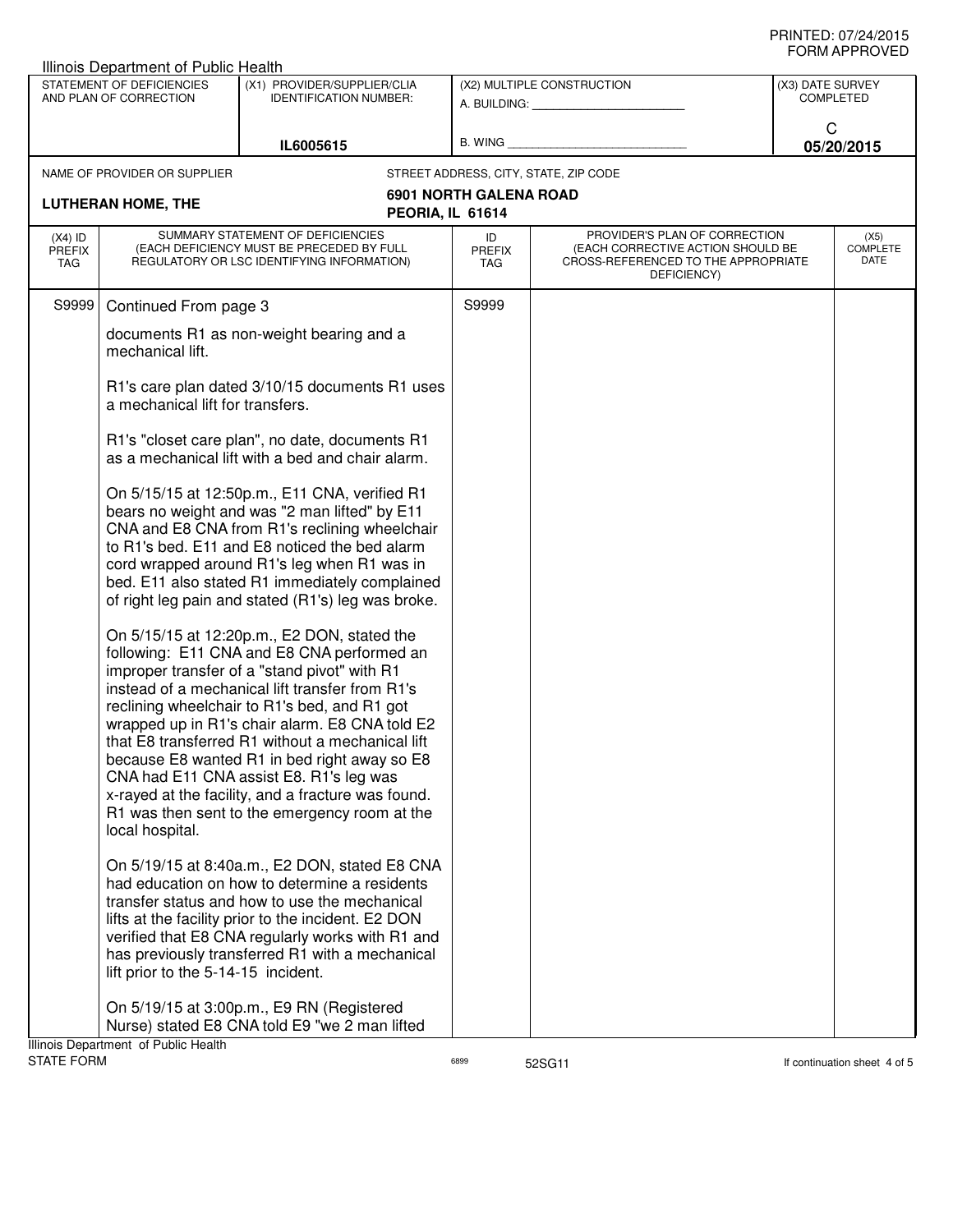| Illinois Department of Public Health                                                                                |                                      |                                                                                                                                                                                                                                                                                                                                                                                                                                                                                                                                                      |                               |                                                                                                                          |  |                                 |  |
|---------------------------------------------------------------------------------------------------------------------|--------------------------------------|------------------------------------------------------------------------------------------------------------------------------------------------------------------------------------------------------------------------------------------------------------------------------------------------------------------------------------------------------------------------------------------------------------------------------------------------------------------------------------------------------------------------------------------------------|-------------------------------|--------------------------------------------------------------------------------------------------------------------------|--|---------------------------------|--|
| STATEMENT OF DEFICIENCIES<br>(X1) PROVIDER/SUPPLIER/CLIA<br>AND PLAN OF CORRECTION<br><b>IDENTIFICATION NUMBER:</b> |                                      | (X2) MULTIPLE CONSTRUCTION<br>A. BUILDING: <b>A. BUILDING:</b>                                                                                                                                                                                                                                                                                                                                                                                                                                                                                       |                               | (X3) DATE SURVEY<br><b>COMPLETED</b>                                                                                     |  |                                 |  |
| IL6005615                                                                                                           |                                      | B. WING                                                                                                                                                                                                                                                                                                                                                                                                                                                                                                                                              |                               | C<br>05/20/2015                                                                                                          |  |                                 |  |
|                                                                                                                     | NAME OF PROVIDER OR SUPPLIER         |                                                                                                                                                                                                                                                                                                                                                                                                                                                                                                                                                      |                               | STREET ADDRESS, CITY, STATE, ZIP CODE                                                                                    |  |                                 |  |
|                                                                                                                     | <b>LUTHERAN HOME, THE</b>            | PEORIA, IL 61614                                                                                                                                                                                                                                                                                                                                                                                                                                                                                                                                     | <b>6901 NORTH GALENA ROAD</b> |                                                                                                                          |  |                                 |  |
| $(X4)$ ID<br><b>PREFIX</b><br>TAG                                                                                   |                                      | SUMMARY STATEMENT OF DEFICIENCIES<br>(EACH DEFICIENCY MUST BE PRECEDED BY FULL<br>REGULATORY OR LSC IDENTIFYING INFORMATION)                                                                                                                                                                                                                                                                                                                                                                                                                         | ID<br><b>PREFIX</b><br>TAG    | PROVIDER'S PLAN OF CORRECTION<br>(EACH CORRECTIVE ACTION SHOULD BE<br>CROSS-REFERENCED TO THE APPROPRIATE<br>DEFICIENCY) |  | (X5)<br><b>COMPLETE</b><br>DATE |  |
| S9999                                                                                                               | Continued From page 3                |                                                                                                                                                                                                                                                                                                                                                                                                                                                                                                                                                      | S9999                         |                                                                                                                          |  |                                 |  |
|                                                                                                                     | mechanical lift.                     | documents R1 as non-weight bearing and a                                                                                                                                                                                                                                                                                                                                                                                                                                                                                                             |                               |                                                                                                                          |  |                                 |  |
|                                                                                                                     | a mechanical lift for transfers.     | R1's care plan dated 3/10/15 documents R1 uses                                                                                                                                                                                                                                                                                                                                                                                                                                                                                                       |                               |                                                                                                                          |  |                                 |  |
|                                                                                                                     |                                      | R1's "closet care plan", no date, documents R1<br>as a mechanical lift with a bed and chair alarm.                                                                                                                                                                                                                                                                                                                                                                                                                                                   |                               |                                                                                                                          |  |                                 |  |
|                                                                                                                     |                                      | On 5/15/15 at 12:50p.m., E11 CNA, verified R1<br>bears no weight and was "2 man lifted" by E11<br>CNA and E8 CNA from R1's reclining wheelchair<br>to R1's bed. E11 and E8 noticed the bed alarm<br>cord wrapped around R1's leg when R1 was in<br>bed. E11 also stated R1 immediately complained<br>of right leg pain and stated (R1's) leg was broke.                                                                                                                                                                                              |                               |                                                                                                                          |  |                                 |  |
|                                                                                                                     | local hospital.                      | On 5/15/15 at 12:20p.m., E2 DON, stated the<br>following: E11 CNA and E8 CNA performed an<br>improper transfer of a "stand pivot" with R1<br>instead of a mechanical lift transfer from R1's<br>reclining wheelchair to R1's bed, and R1 got<br>wrapped up in R1's chair alarm. E8 CNA told E2<br>that E8 transferred R1 without a mechanical lift<br>because E8 wanted R1 in bed right away so E8<br>CNA had E11 CNA assist E8. R1's leg was<br>x-rayed at the facility, and a fracture was found.<br>R1 was then sent to the emergency room at the |                               |                                                                                                                          |  |                                 |  |
|                                                                                                                     | lift prior to the 5-14-15 incident.  | On 5/19/15 at 8:40a.m., E2 DON, stated E8 CNA<br>had education on how to determine a residents<br>transfer status and how to use the mechanical<br>lifts at the facility prior to the incident. E2 DON<br>verified that E8 CNA regularly works with R1 and<br>has previously transferred R1 with a mechanical                                                                                                                                                                                                                                        |                               |                                                                                                                          |  |                                 |  |
|                                                                                                                     | Illinois Department of Public Health | On 5/19/15 at 3:00p.m., E9 RN (Registered<br>Nurse) stated E8 CNA told E9 "we 2 man lifted                                                                                                                                                                                                                                                                                                                                                                                                                                                           |                               |                                                                                                                          |  |                                 |  |
|                                                                                                                     |                                      |                                                                                                                                                                                                                                                                                                                                                                                                                                                                                                                                                      |                               |                                                                                                                          |  |                                 |  |